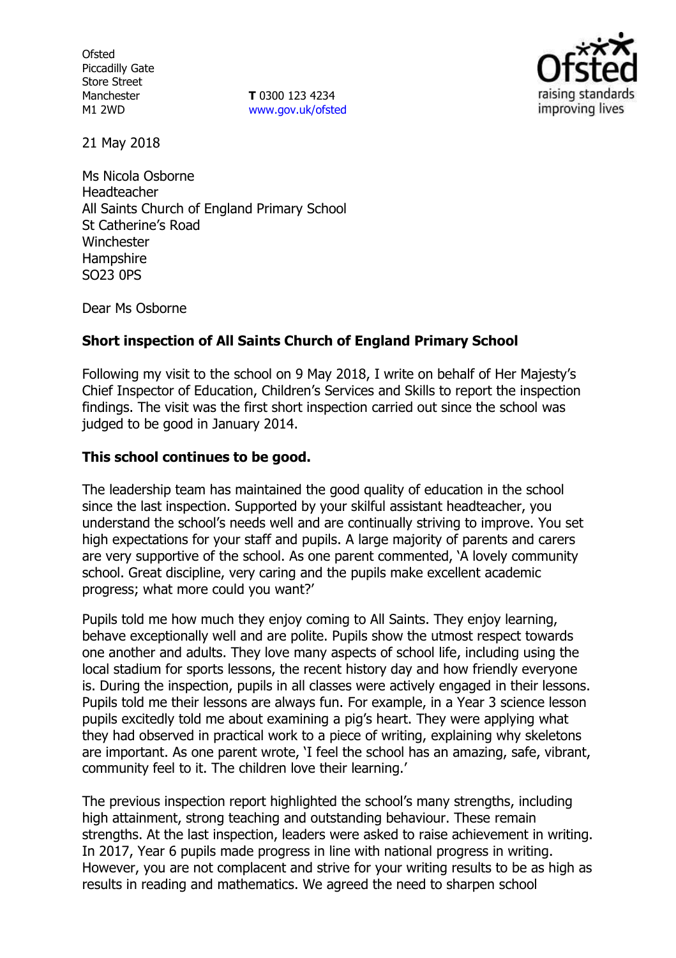**Ofsted** Piccadilly Gate Store Street Manchester M1 2WD

**T** 0300 123 4234 www.gov.uk/ofsted



21 May 2018

Ms Nicola Osborne Headteacher All Saints Church of England Primary School St Catherine's Road Winchester **Hampshire** SO23 0PS

Dear Ms Osborne

### **Short inspection of All Saints Church of England Primary School**

Following my visit to the school on 9 May 2018, I write on behalf of Her Majesty's Chief Inspector of Education, Children's Services and Skills to report the inspection findings. The visit was the first short inspection carried out since the school was judged to be good in January 2014.

### **This school continues to be good.**

The leadership team has maintained the good quality of education in the school since the last inspection. Supported by your skilful assistant headteacher, you understand the school's needs well and are continually striving to improve. You set high expectations for your staff and pupils. A large majority of parents and carers are very supportive of the school. As one parent commented, 'A lovely community school. Great discipline, very caring and the pupils make excellent academic progress; what more could you want?'

Pupils told me how much they enjoy coming to All Saints. They enjoy learning, behave exceptionally well and are polite. Pupils show the utmost respect towards one another and adults. They love many aspects of school life, including using the local stadium for sports lessons, the recent history day and how friendly everyone is. During the inspection, pupils in all classes were actively engaged in their lessons. Pupils told me their lessons are always fun. For example, in a Year 3 science lesson pupils excitedly told me about examining a pig's heart. They were applying what they had observed in practical work to a piece of writing, explaining why skeletons are important. As one parent wrote, 'I feel the school has an amazing, safe, vibrant, community feel to it. The children love their learning.'

The previous inspection report highlighted the school's many strengths, including high attainment, strong teaching and outstanding behaviour. These remain strengths. At the last inspection, leaders were asked to raise achievement in writing. In 2017, Year 6 pupils made progress in line with national progress in writing. However, you are not complacent and strive for your writing results to be as high as results in reading and mathematics. We agreed the need to sharpen school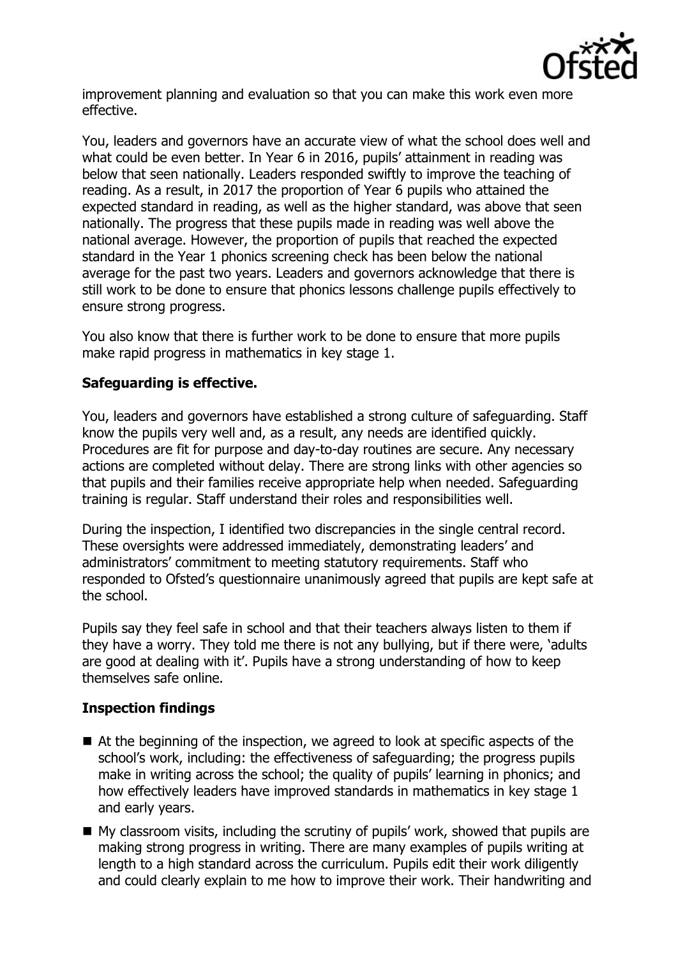

improvement planning and evaluation so that you can make this work even more effective.

You, leaders and governors have an accurate view of what the school does well and what could be even better. In Year 6 in 2016, pupils' attainment in reading was below that seen nationally. Leaders responded swiftly to improve the teaching of reading. As a result, in 2017 the proportion of Year 6 pupils who attained the expected standard in reading, as well as the higher standard, was above that seen nationally. The progress that these pupils made in reading was well above the national average. However, the proportion of pupils that reached the expected standard in the Year 1 phonics screening check has been below the national average for the past two years. Leaders and governors acknowledge that there is still work to be done to ensure that phonics lessons challenge pupils effectively to ensure strong progress.

You also know that there is further work to be done to ensure that more pupils make rapid progress in mathematics in key stage 1.

# **Safeguarding is effective.**

You, leaders and governors have established a strong culture of safeguarding. Staff know the pupils very well and, as a result, any needs are identified quickly. Procedures are fit for purpose and day-to-day routines are secure. Any necessary actions are completed without delay. There are strong links with other agencies so that pupils and their families receive appropriate help when needed. Safeguarding training is regular. Staff understand their roles and responsibilities well.

During the inspection, I identified two discrepancies in the single central record. These oversights were addressed immediately, demonstrating leaders' and administrators' commitment to meeting statutory requirements. Staff who responded to Ofsted's questionnaire unanimously agreed that pupils are kept safe at the school.

Pupils say they feel safe in school and that their teachers always listen to them if they have a worry. They told me there is not any bullying, but if there were, 'adults are good at dealing with it'. Pupils have a strong understanding of how to keep themselves safe online.

# **Inspection findings**

- At the beginning of the inspection, we agreed to look at specific aspects of the school's work, including: the effectiveness of safeguarding; the progress pupils make in writing across the school; the quality of pupils' learning in phonics; and how effectively leaders have improved standards in mathematics in key stage 1 and early years.
- My classroom visits, including the scrutiny of pupils' work, showed that pupils are making strong progress in writing. There are many examples of pupils writing at length to a high standard across the curriculum. Pupils edit their work diligently and could clearly explain to me how to improve their work. Their handwriting and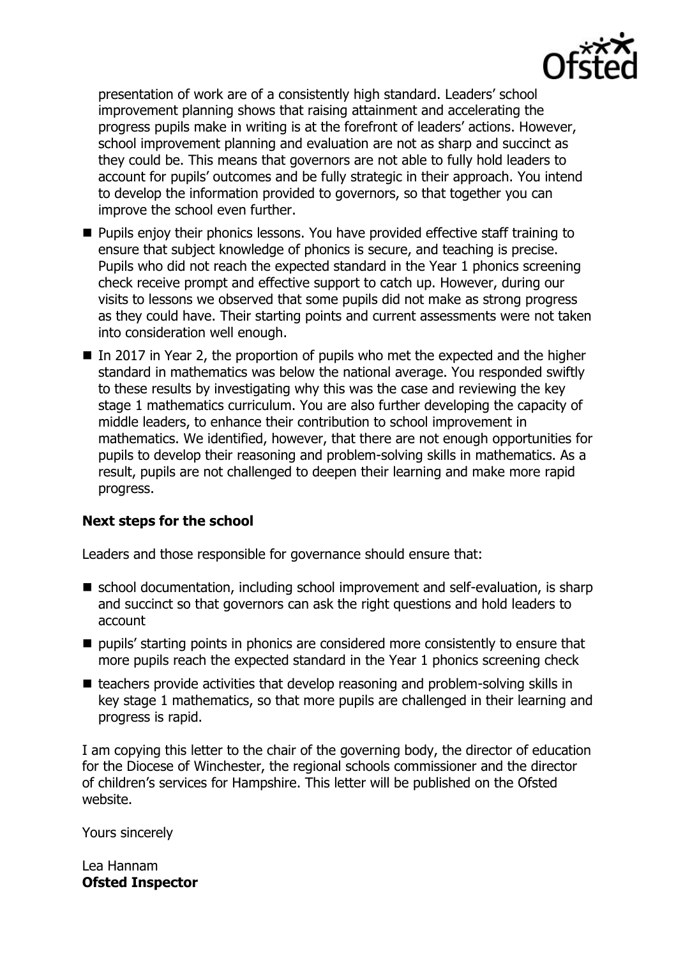

presentation of work are of a consistently high standard. Leaders' school improvement planning shows that raising attainment and accelerating the progress pupils make in writing is at the forefront of leaders' actions. However, school improvement planning and evaluation are not as sharp and succinct as they could be. This means that governors are not able to fully hold leaders to account for pupils' outcomes and be fully strategic in their approach. You intend to develop the information provided to governors, so that together you can improve the school even further.

- **Pupils enjoy their phonics lessons. You have provided effective staff training to** ensure that subject knowledge of phonics is secure, and teaching is precise. Pupils who did not reach the expected standard in the Year 1 phonics screening check receive prompt and effective support to catch up. However, during our visits to lessons we observed that some pupils did not make as strong progress as they could have. Their starting points and current assessments were not taken into consideration well enough.
- In 2017 in Year 2, the proportion of pupils who met the expected and the higher standard in mathematics was below the national average. You responded swiftly to these results by investigating why this was the case and reviewing the key stage 1 mathematics curriculum. You are also further developing the capacity of middle leaders, to enhance their contribution to school improvement in mathematics. We identified, however, that there are not enough opportunities for pupils to develop their reasoning and problem-solving skills in mathematics. As a result, pupils are not challenged to deepen their learning and make more rapid progress.

### **Next steps for the school**

Leaders and those responsible for governance should ensure that:

- school documentation, including school improvement and self-evaluation, is sharp and succinct so that governors can ask the right questions and hold leaders to account
- pupils' starting points in phonics are considered more consistently to ensure that more pupils reach the expected standard in the Year 1 phonics screening check
- $\blacksquare$  teachers provide activities that develop reasoning and problem-solving skills in key stage 1 mathematics, so that more pupils are challenged in their learning and progress is rapid.

I am copying this letter to the chair of the governing body, the director of education for the Diocese of Winchester, the regional schools commissioner and the director of children's services for Hampshire. This letter will be published on the Ofsted website.

Yours sincerely

Lea Hannam **Ofsted Inspector**